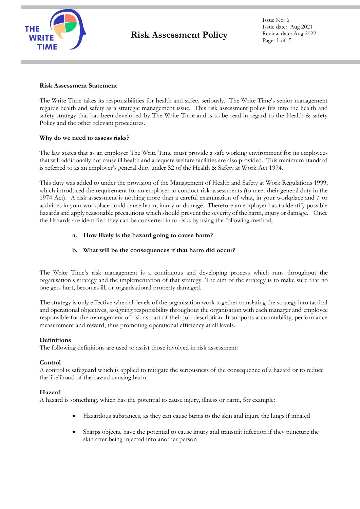

Issue No: 6 Issue date: Aug 2021 Review date: Aug 2022 Page: 1 of 5

### **Risk Assessment Statement**

The Write Time takes its responsibilities for health and safety seriously. The Write Time's senior management regards health and safety as a strategic management issue. This risk assessment policy fits into the health and safety strategy that has been developed by The Write Time and is to be read in regard to the Health & safety Policy and the other relevant procedures.

# **Why do we need to assess risks?**

The law states that as an employer The Write Time must provide a safe working environment for its employees that will additionally not cause ill health and adequate welfare facilities are also provided. This minimum standard is referred to as an employer's general duty under S2 of the Health & Safety at Work Act 1974.

This duty was added to under the provision of the Management of Health and Safety at Work Regulations 1999, which introduced the requirement for an employer to conduct risk assessments (to meet their general duty in the 1974 Act). A risk assessment is nothing more than a careful examination of what, in your workplace and / or activities in your workplace could cause harm, injury or damage. Therefore an employer has to identify possible hazards and apply reasonable precautions which should prevent the severity of the harm, injury or damage. Once the Hazards are identified they can be converted in to risks by using the following method,

# **a. How likely is the hazard going to cause harm?**

# **b. What will be the consequences if that harm did occur?**

The Write Time's risk management is a continuous and developing process which runs throughout the organisation's strategy and the implementation of that strategy. The aim of the strategy is to make sure that no one gets hurt, becomes ill, or organisational property damaged.

The strategy is only effective when all levels of the organisation work together translating the strategy into tactical and operational objectives, assigning responsibility throughout the organisation with each manager and employee responsible for the management of risk as part of their job description. It supports accountability, performance measurement and reward, thus promoting operational efficiency at all levels.

# **Definitions**

The following definitions are used to assist those involved in risk assessment:

# **Control**

A control is safeguard which is applied to mitigate the seriousness of the consequence of a hazard or to reduce the likelihood of the hazard causing harm

# **Hazard**

A hazard is something, which has the potential to cause injury, illness or harm, for example:

- Hazardous substances, as they can cause burns to the skin and injure the lungs if inhaled
- Sharps objects, have the potential to cause injury and transmit infection if they puncture the skin after being injected into another person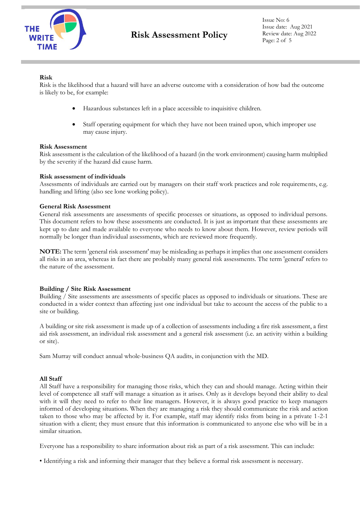

Issue No: 6 Issue date: Aug 2021 Review date: Aug 2022 Page: 2 of 5

# **Risk**

Risk is the likelihood that a hazard will have an adverse outcome with a consideration of how bad the outcome is likely to be, for example:

- Hazardous substances left in a place accessible to inquisitive children.
- Staff operating equipment for which they have not been trained upon, which improper use may cause injury.

### **Risk Assessment**

Risk assessment is the calculation of the likelihood of a hazard (in the work environment) causing harm multiplied by the severity if the hazard did cause harm.

### **Risk assessment of individuals**

Assessments of individuals are carried out by managers on their staff work practices and role requirements, e.g. handling and lifting (also see lone working policy).

#### **General Risk Assessment**

General risk assessments are assessments of specific processes or situations, as opposed to individual persons. This document refers to how these assessments are conducted. It is just as important that these assessments are kept up to date and made available to everyone who needs to know about them. However, review periods will normally be longer than individual assessments, which are reviewed more frequently.

**NOTE:** The term 'general risk assessment' may be misleading as perhaps it implies that one assessment considers all risks in an area, whereas in fact there are probably many general risk assessments. The term 'general' refers to the nature of the assessment.

### **Building / Site Risk Assessment**

Building / Site assessments are assessments of specific places as opposed to individuals or situations. These are conducted in a wider context than affecting just one individual but take to account the access of the public to a site or building.

A building or site risk assessment is made up of a collection of assessments including a fire risk assessment, a first aid risk assessment, an individual risk assessment and a general risk assessment (i.e. an activity within a building or site).

Sam Murray will conduct annual whole-business QA audits, in conjunction with the MD.

### **All Staff**

All Staff have a responsibility for managing those risks, which they can and should manage. Acting within their level of competence all staff will manage a situation as it arises. Only as it develops beyond their ability to deal with it will they need to refer to their line managers. However, it is always good practice to keep managers informed of developing situations. When they are managing a risk they should communicate the risk and action taken to those who may be affected by it. For example, staff may identify risks from being in a private 1-2-1 situation with a client; they must ensure that this information is communicated to anyone else who will be in a similar situation.

Everyone has a responsibility to share information about risk as part of a risk assessment. This can include:

• Identifying a risk and informing their manager that they believe a formal risk assessment is necessary.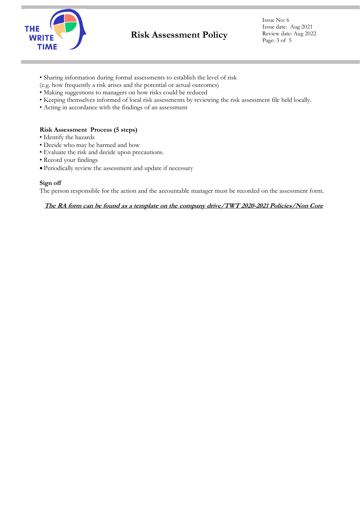

Issue No: 6 Issue date: Aug 2021 Review date: Aug 2022 Page: 3 of 5

- Sharing information during formal assessments to establish the level of risk
- (e.g. how frequently a risk arises and the potential or actual outcomes)
- Making suggestions to managers on how risks could be reduced
- Keeping themselves informed of local risk assessments by reviewing the risk assessment file held locally.
- Acting in accordance with the findings of an assessment

### **Risk Assessment Process (5 steps)**

- Identify the hazards
- Decide who may be harmed and how
- Evaluate the risk and decide upon precautions.
- Record your findings
- Periodically review the assessment and update if necessary

### **Sign off**

The person responsible for the action and the accountable manager must be recorded on the assessment form.

### **The RA form can be found as a template on the company drive/TWT 2020-2021 Policies/Non Core**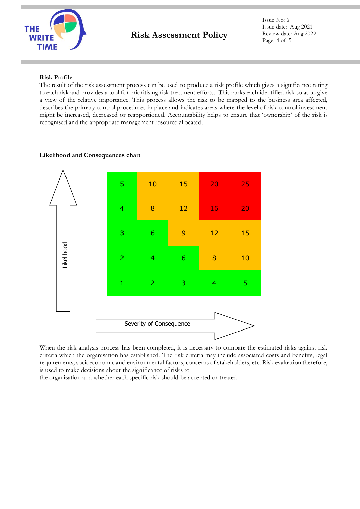

Issue No: 6 Issue date: Aug 2021 Review date: Aug 2022 Page: 4 of 5

# **Risk Profile**

The result of the risk assessment process can be used to produce a risk profile which gives a significance rating to each risk and provides a tool for prioritising risk treatment efforts. This ranks each identified risk so as to give a view of the relative importance. This process allows the risk to be mapped to the business area affected, describes the primary control procedures in place and indicates areas where the level of risk control investment might be increased, decreased or reapportioned. Accountability helps to ensure that 'ownership' of the risk is recognised and the appropriate management resource allocated.

# **Likelihood and Consequences chart**



When the risk analysis process has been completed, it is necessary to compare the estimated risks against risk criteria which the organisation has established. The risk criteria may include associated costs and benefits, legal requirements, socioeconomic and environmental factors, concerns of stakeholders, etc. Risk evaluation therefore, is used to make decisions about the significance of risks to

the organisation and whether each specific risk should be accepted or treated.